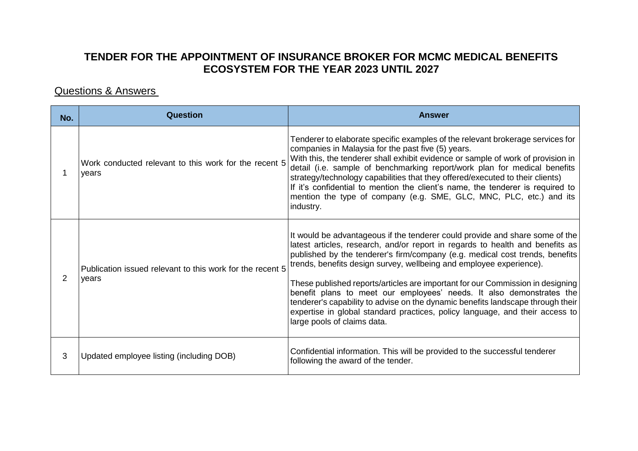## **TENDER FOR THE APPOINTMENT OF INSURANCE BROKER FOR MCMC MEDICAL BENEFITS ECOSYSTEM FOR THE YEAR 2023 UNTIL 2027**

## Questions & Answers

| No. | Question                                                           | <b>Answer</b>                                                                                                                                                                                                                                                                                                                                                                                                                                                                                                                                                                                                                                                                    |
|-----|--------------------------------------------------------------------|----------------------------------------------------------------------------------------------------------------------------------------------------------------------------------------------------------------------------------------------------------------------------------------------------------------------------------------------------------------------------------------------------------------------------------------------------------------------------------------------------------------------------------------------------------------------------------------------------------------------------------------------------------------------------------|
|     | Work conducted relevant to this work for the recent 5<br>years     | Tenderer to elaborate specific examples of the relevant brokerage services for<br>companies in Malaysia for the past five (5) years.<br>With this, the tenderer shall exhibit evidence or sample of work of provision in<br>detail (i.e. sample of benchmarking report/work plan for medical benefits<br>strategy/technology capabilities that they offered/executed to their clients)<br>If it's confidential to mention the client's name, the tenderer is required to<br>mention the type of company (e.g. SME, GLC, MNC, PLC, etc.) and its<br>industry.                                                                                                                     |
| 2   | Publication issued relevant to this work for the recent 5<br>vears | It would be advantageous if the tenderer could provide and share some of the<br>latest articles, research, and/or report in regards to health and benefits as<br>published by the tenderer's firm/company (e.g. medical cost trends, benefits<br>trends, benefits design survey, wellbeing and employee experience).<br>These published reports/articles are important for our Commission in designing<br>benefit plans to meet our employees' needs. It also demonstrates the<br>tenderer's capability to advise on the dynamic benefits landscape through their<br>expertise in global standard practices, policy language, and their access to<br>large pools of claims data. |
| 3   | Updated employee listing (including DOB)                           | Confidential information. This will be provided to the successful tenderer<br>following the award of the tender.                                                                                                                                                                                                                                                                                                                                                                                                                                                                                                                                                                 |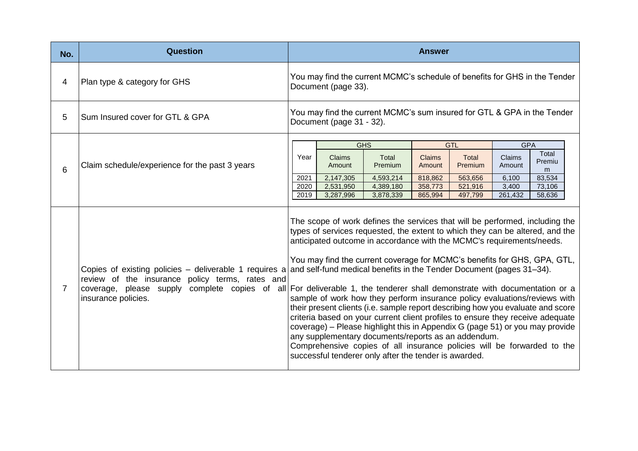| No. | <b>Question</b>                                                                                                                  |                                                                                                                                                                                                                                                                                                                                                                                                                                                                                                                                                                                                                                                                                                                                                                                                                                                                                                                                                                                                                                                     |                                                                                                     |                        | <b>Answer</b>      |                    |                  |                      |
|-----|----------------------------------------------------------------------------------------------------------------------------------|-----------------------------------------------------------------------------------------------------------------------------------------------------------------------------------------------------------------------------------------------------------------------------------------------------------------------------------------------------------------------------------------------------------------------------------------------------------------------------------------------------------------------------------------------------------------------------------------------------------------------------------------------------------------------------------------------------------------------------------------------------------------------------------------------------------------------------------------------------------------------------------------------------------------------------------------------------------------------------------------------------------------------------------------------------|-----------------------------------------------------------------------------------------------------|------------------------|--------------------|--------------------|------------------|----------------------|
| 4   | Plan type & category for GHS                                                                                                     |                                                                                                                                                                                                                                                                                                                                                                                                                                                                                                                                                                                                                                                                                                                                                                                                                                                                                                                                                                                                                                                     | You may find the current MCMC's schedule of benefits for GHS in the Tender<br>Document (page 33).   |                        |                    |                    |                  |                      |
| 5   | Sum Insured cover for GTL & GPA                                                                                                  |                                                                                                                                                                                                                                                                                                                                                                                                                                                                                                                                                                                                                                                                                                                                                                                                                                                                                                                                                                                                                                                     | You may find the current MCMC's sum insured for GTL & GPA in the Tender<br>Document (page 31 - 32). |                        |                    |                    |                  |                      |
|     |                                                                                                                                  |                                                                                                                                                                                                                                                                                                                                                                                                                                                                                                                                                                                                                                                                                                                                                                                                                                                                                                                                                                                                                                                     |                                                                                                     | <b>GHS</b>             | <b>GTL</b>         |                    | <b>GPA</b>       |                      |
| 6   | Claim schedule/experience for the past 3 years                                                                                   | Year                                                                                                                                                                                                                                                                                                                                                                                                                                                                                                                                                                                                                                                                                                                                                                                                                                                                                                                                                                                                                                                | <b>Claims</b><br>Amount                                                                             | Total<br>Premium       | Claims<br>Amount   | Total<br>Premium   | Claims<br>Amount | Total<br>Premiu<br>m |
|     |                                                                                                                                  | 2021<br>2020                                                                                                                                                                                                                                                                                                                                                                                                                                                                                                                                                                                                                                                                                                                                                                                                                                                                                                                                                                                                                                        | 2,147,305<br>2,531,950                                                                              | 4,593,214<br>4,389,180 | 818.862<br>358,773 | 563,656<br>521,916 | 6.100<br>3,400   | 83,534<br>73,106     |
|     |                                                                                                                                  | 2019                                                                                                                                                                                                                                                                                                                                                                                                                                                                                                                                                                                                                                                                                                                                                                                                                                                                                                                                                                                                                                                | 3,287,996                                                                                           | 3,878,339              | 865,994            | 497,799            | 261,432          | 58,636               |
| 7   | Copies of existing policies - deliverable 1 requires a<br>review of the insurance policy terms, rates and<br>insurance policies. | The scope of work defines the services that will be performed, including the<br>types of services requested, the extent to which they can be altered, and the<br>anticipated outcome in accordance with the MCMC's requirements/needs.<br>You may find the current coverage for MCMC's benefits for GHS, GPA, GTL,<br>and self-fund medical benefits in the Tender Document (pages 31–34).<br>coverage, please supply complete copies of all For deliverable 1, the tenderer shall demonstrate with documentation or a<br>sample of work how they perform insurance policy evaluations/reviews with<br>their present clients (i.e. sample report describing how you evaluate and score<br>criteria based on your current client profiles to ensure they receive adequate<br>coverage) – Please highlight this in Appendix G (page 51) or you may provide<br>any supplementary documents/reports as an addendum.<br>Comprehensive copies of all insurance policies will be forwarded to the<br>successful tenderer only after the tender is awarded. |                                                                                                     |                        |                    |                    |                  |                      |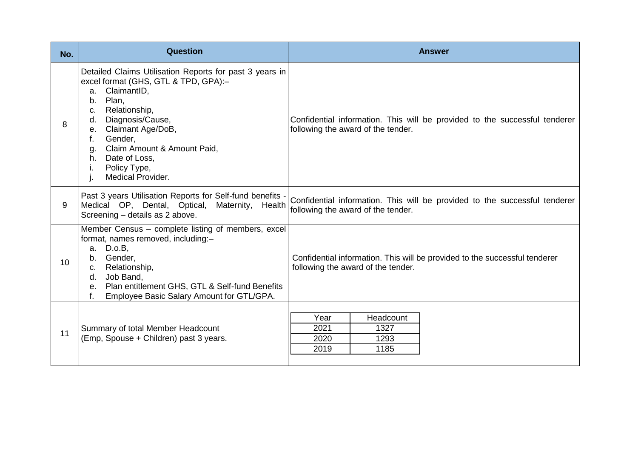| No. | <b>Question</b>                                                                                                                                                                                                                                                                                                                           | <b>Answer</b>                                                                                                    |
|-----|-------------------------------------------------------------------------------------------------------------------------------------------------------------------------------------------------------------------------------------------------------------------------------------------------------------------------------------------|------------------------------------------------------------------------------------------------------------------|
| 8   | Detailed Claims Utilisation Reports for past 3 years in<br>excel format (GHS, GTL & TPD, GPA):-<br>ClaimantID,<br>a.<br>Plan,<br>b.<br>Relationship,<br>C.<br>Diagnosis/Cause,<br>d.<br>Claimant Age/DoB,<br>$e_{1}$<br>Gender,<br>f.<br>Claim Amount & Amount Paid,<br>g.<br>h. Date of Loss,<br>Policy Type,<br>Τ.<br>Medical Provider. | Confidential information. This will be provided to the successful tenderer<br>following the award of the tender. |
| 9   | Past 3 years Utilisation Reports for Self-fund benefits -<br>Medical OP, Dental, Optical, Maternity, Health<br>Screening - details as 2 above.                                                                                                                                                                                            | Confidential information. This will be provided to the successful tenderer<br>following the award of the tender. |
| 10  | Member Census – complete listing of members, excel<br>format, names removed, including:-<br>a. D.o.B,<br>Gender,<br>b.<br>c. Relationship,<br>Job Band,<br>d.<br>e. Plan entitlement GHS, GTL & Self-fund Benefits<br>Employee Basic Salary Amount for GTL/GPA.<br>f.                                                                     | Confidential information. This will be provided to the successful tenderer<br>following the award of the tender. |
| 11  | Summary of total Member Headcount<br>(Emp, Spouse + Children) past 3 years.                                                                                                                                                                                                                                                               | Headcount<br>Year<br>2021<br>1327<br>2020<br>1293<br>2019<br>1185                                                |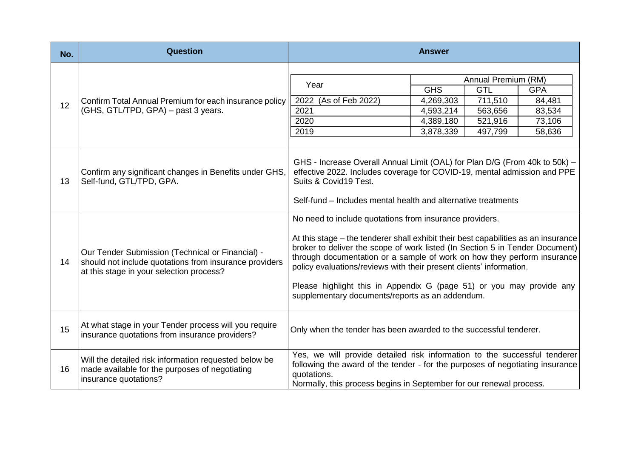| No. | <b>Question</b>                                                                                                                                        | <b>Answer</b>                                                                                                                                                                                                                                                                                                                                                                                                                                                                                              |                     |         |            |  |  |  |
|-----|--------------------------------------------------------------------------------------------------------------------------------------------------------|------------------------------------------------------------------------------------------------------------------------------------------------------------------------------------------------------------------------------------------------------------------------------------------------------------------------------------------------------------------------------------------------------------------------------------------------------------------------------------------------------------|---------------------|---------|------------|--|--|--|
|     |                                                                                                                                                        |                                                                                                                                                                                                                                                                                                                                                                                                                                                                                                            |                     |         |            |  |  |  |
|     |                                                                                                                                                        | Year                                                                                                                                                                                                                                                                                                                                                                                                                                                                                                       | Annual Premium (RM) |         |            |  |  |  |
|     |                                                                                                                                                        |                                                                                                                                                                                                                                                                                                                                                                                                                                                                                                            | <b>GHS</b>          | GTL     | <b>GPA</b> |  |  |  |
| 12  | Confirm Total Annual Premium for each insurance policy                                                                                                 | 2022 (As of Feb 2022)                                                                                                                                                                                                                                                                                                                                                                                                                                                                                      | 4,269,303           | 711,510 | 84,481     |  |  |  |
|     | (GHS, GTL/TPD, GPA) - past 3 years.                                                                                                                    | 2021                                                                                                                                                                                                                                                                                                                                                                                                                                                                                                       | 4,593,214           | 563,656 | 83,534     |  |  |  |
|     |                                                                                                                                                        | 2020                                                                                                                                                                                                                                                                                                                                                                                                                                                                                                       | 4,389,180           | 521,916 | 73,106     |  |  |  |
|     |                                                                                                                                                        | 2019                                                                                                                                                                                                                                                                                                                                                                                                                                                                                                       | 3,878,339           | 497,799 | 58,636     |  |  |  |
|     |                                                                                                                                                        |                                                                                                                                                                                                                                                                                                                                                                                                                                                                                                            |                     |         |            |  |  |  |
| 13  | Confirm any significant changes in Benefits under GHS,<br>Self-fund, GTL/TPD, GPA.                                                                     | GHS - Increase Overall Annual Limit (OAL) for Plan D/G (From 40k to 50k) -<br>effective 2022. Includes coverage for COVID-19, mental admission and PPE<br>Suits & Covid19 Test.<br>Self-fund – Includes mental health and alternative treatments                                                                                                                                                                                                                                                           |                     |         |            |  |  |  |
| 14  | Our Tender Submission (Technical or Financial) -<br>should not include quotations from insurance providers<br>at this stage in your selection process? | No need to include quotations from insurance providers.<br>At this stage – the tenderer shall exhibit their best capabilities as an insurance<br>broker to deliver the scope of work listed (In Section 5 in Tender Document)<br>through documentation or a sample of work on how they perform insurance<br>policy evaluations/reviews with their present clients' information.<br>Please highlight this in Appendix G (page 51) or you may provide any<br>supplementary documents/reports as an addendum. |                     |         |            |  |  |  |
| 15  | At what stage in your Tender process will you require<br>insurance quotations from insurance providers?                                                | Only when the tender has been awarded to the successful tenderer.                                                                                                                                                                                                                                                                                                                                                                                                                                          |                     |         |            |  |  |  |
| 16  | Will the detailed risk information requested below be<br>made available for the purposes of negotiating<br>insurance quotations?                       | Yes, we will provide detailed risk information to the successful tenderer<br>following the award of the tender - for the purposes of negotiating insurance<br>quotations.<br>Normally, this process begins in September for our renewal process.                                                                                                                                                                                                                                                           |                     |         |            |  |  |  |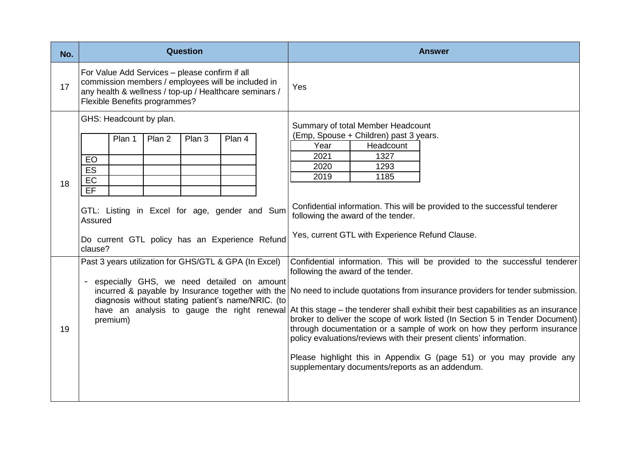| No. | <b>Question</b>                                                                                                                                                                                 | <b>Answer</b>                                                                                                                                                                                                                                                                                                                                                                                                                                                                                                                                                                                                                                                        |
|-----|-------------------------------------------------------------------------------------------------------------------------------------------------------------------------------------------------|----------------------------------------------------------------------------------------------------------------------------------------------------------------------------------------------------------------------------------------------------------------------------------------------------------------------------------------------------------------------------------------------------------------------------------------------------------------------------------------------------------------------------------------------------------------------------------------------------------------------------------------------------------------------|
| 17  | For Value Add Services - please confirm if all<br>commission members / employees will be included in<br>any health & wellness / top-up / Healthcare seminars /<br>Flexible Benefits programmes? | Yes                                                                                                                                                                                                                                                                                                                                                                                                                                                                                                                                                                                                                                                                  |
| 18  | GHS: Headcount by plan.<br>Plan 1<br>Plan 2<br>Plan 3<br>Plan 4<br>EO<br>ES<br>EC<br>EF                                                                                                         | Summary of total Member Headcount<br>(Emp, Spouse + Children) past 3 years.<br>Year<br>Headcount<br>2021<br>1327<br>2020<br>1293<br>2019<br>1185<br>Confidential information. This will be provided to the successful tenderer                                                                                                                                                                                                                                                                                                                                                                                                                                       |
|     | GTL: Listing in Excel for age, gender and Sum<br>Assured<br>Do current GTL policy has an Experience Refund<br>clause?<br>Past 3 years utilization for GHS/GTL & GPA (In Excel)                  | following the award of the tender.<br>Yes, current GTL with Experience Refund Clause.<br>Confidential information. This will be provided to the successful tenderer                                                                                                                                                                                                                                                                                                                                                                                                                                                                                                  |
| 19  | especially GHS, we need detailed on amount<br>diagnosis without stating patient's name/NRIC. (to<br>premium)                                                                                    | following the award of the tender.<br>incurred & payable by Insurance together with the No need to include quotations from insurance providers for tender submission.<br>have an analysis to gauge the right renewal At this stage – the tenderer shall exhibit their best capabilities as an insurance<br>broker to deliver the scope of work listed (In Section 5 in Tender Document)<br>through documentation or a sample of work on how they perform insurance<br>policy evaluations/reviews with their present clients' information.<br>Please highlight this in Appendix G (page 51) or you may provide any<br>supplementary documents/reports as an addendum. |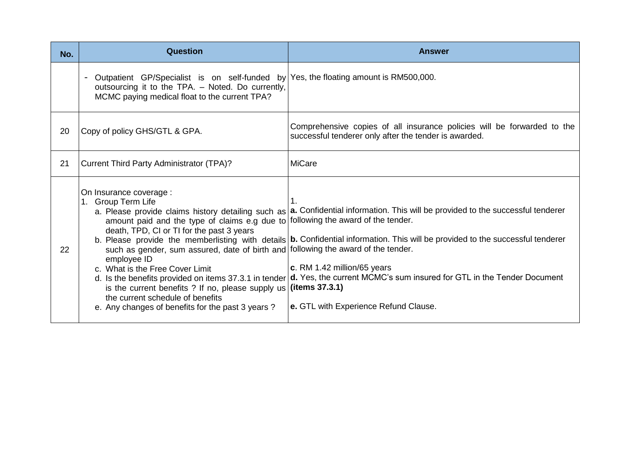| No. | <b>Question</b>                                                                                                                                                                                                                                                                                                                                                                                                                                                    | <b>Answer</b>                                                                                                                                                                                                                                                                                                                                                                                                                                                                                   |
|-----|--------------------------------------------------------------------------------------------------------------------------------------------------------------------------------------------------------------------------------------------------------------------------------------------------------------------------------------------------------------------------------------------------------------------------------------------------------------------|-------------------------------------------------------------------------------------------------------------------------------------------------------------------------------------------------------------------------------------------------------------------------------------------------------------------------------------------------------------------------------------------------------------------------------------------------------------------------------------------------|
|     | - Outpatient GP/Specialist is on self-funded by Yes, the floating amount is RM500,000.<br>outsourcing it to the TPA. - Noted. Do currently,<br>MCMC paying medical float to the current TPA?                                                                                                                                                                                                                                                                       |                                                                                                                                                                                                                                                                                                                                                                                                                                                                                                 |
| 20  | Copy of policy GHS/GTL & GPA.                                                                                                                                                                                                                                                                                                                                                                                                                                      | Comprehensive copies of all insurance policies will be forwarded to the<br>successful tenderer only after the tender is awarded.                                                                                                                                                                                                                                                                                                                                                                |
| 21  | Current Third Party Administrator (TPA)?                                                                                                                                                                                                                                                                                                                                                                                                                           | <b>MiCare</b>                                                                                                                                                                                                                                                                                                                                                                                                                                                                                   |
| 22  | On Insurance coverage :<br>1. Group Term Life<br>amount paid and the type of claims e.g due to following the award of the tender.<br>death, TPD, CI or TI for the past 3 years<br>such as gender, sum assured, date of birth and following the award of the tender.<br>employee ID<br>c. What is the Free Cover Limit<br>is the current benefits ? If no, please supply us<br>the current schedule of benefits<br>e. Any changes of benefits for the past 3 years? | a. Please provide claims history detailing such as   a. Confidential information. This will be provided to the successful tenderer<br>b. Please provide the memberlisting with details   b. Confidential information. This will be provided to the successful tenderer<br>c. RM 1.42 million/65 years<br>d. Is the benefits provided on items 37.3.1 in tender d. Yes, the current MCMC's sum insured for GTL in the Tender Document<br>(items 37.3.1)<br>e. GTL with Experience Refund Clause. |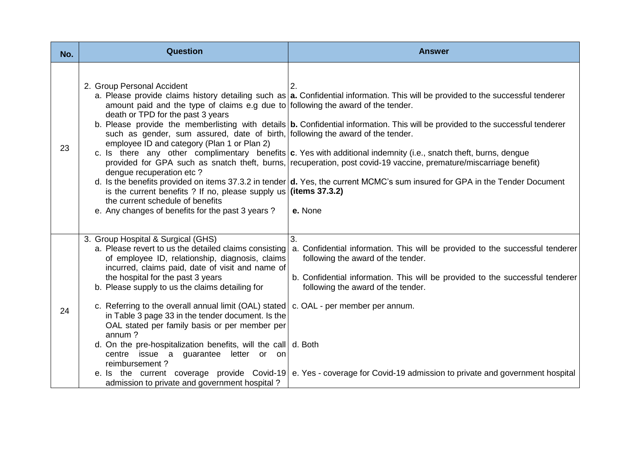| No. | Question                                                                                                                                                                                                                                                                                                                                                                                                                                                                                                                                                                                                                                                                                                                         | <b>Answer</b>                                                                                                                                                                                                                                                                                                                                                                                                                                                                                                                                                                                                                                                       |
|-----|----------------------------------------------------------------------------------------------------------------------------------------------------------------------------------------------------------------------------------------------------------------------------------------------------------------------------------------------------------------------------------------------------------------------------------------------------------------------------------------------------------------------------------------------------------------------------------------------------------------------------------------------------------------------------------------------------------------------------------|---------------------------------------------------------------------------------------------------------------------------------------------------------------------------------------------------------------------------------------------------------------------------------------------------------------------------------------------------------------------------------------------------------------------------------------------------------------------------------------------------------------------------------------------------------------------------------------------------------------------------------------------------------------------|
| 23  | 2. Group Personal Accident<br>amount paid and the type of claims e.g due to following the award of the tender.<br>death or TPD for the past 3 years<br>such as gender, sum assured, date of birth, following the award of the tender.<br>employee ID and category (Plan 1 or Plan 2)<br>dengue recuperation etc?<br>is the current benefits ? If no, please supply us (items $37.3.2$ )<br>the current schedule of benefits<br>e. Any changes of benefits for the past 3 years?                                                                                                                                                                                                                                                  | a. Please provide claims history detailing such as   a. Confidential information. This will be provided to the successful tenderer<br>b. Please provide the memberlisting with details $ b$ . Confidential information. This will be provided to the successful tenderer<br>c. Is there any other complimentary benefits $ c $ . Yes with additional indemnity (i.e., snatch theft, burns, dengue<br>provided for GPA such as snatch theft, burns, recuperation, post covid-19 vaccine, premature/miscarriage benefit)<br>d. Is the benefits provided on items 37.3.2 in tender $d$ . Yes, the current MCMC's sum insured for GPA in the Tender Document<br>e. None |
| 24  | 3. Group Hospital & Surgical (GHS)<br>a. Please revert to us the detailed claims consisting<br>of employee ID, relationship, diagnosis, claims<br>incurred, claims paid, date of visit and name of<br>the hospital for the past 3 years<br>b. Please supply to us the claims detailing for<br>c. Referring to the overall annual limit (OAL) stated   c. OAL - per member per annum.<br>in Table 3 page 33 in the tender document. Is the<br>OAL stated per family basis or per member per<br>annum?<br>d. On the pre-hospitalization benefits, will the call d. Both<br>centre issue a guarantee letter or on<br>reimbursement?<br>e. Is the current coverage provide Covid-19<br>admission to private and government hospital? | 3.<br>a. Confidential information. This will be provided to the successful tenderer<br>following the award of the tender.<br>b. Confidential information. This will be provided to the successful tenderer<br>following the award of the tender.<br>e. Yes - coverage for Covid-19 admission to private and government hospital                                                                                                                                                                                                                                                                                                                                     |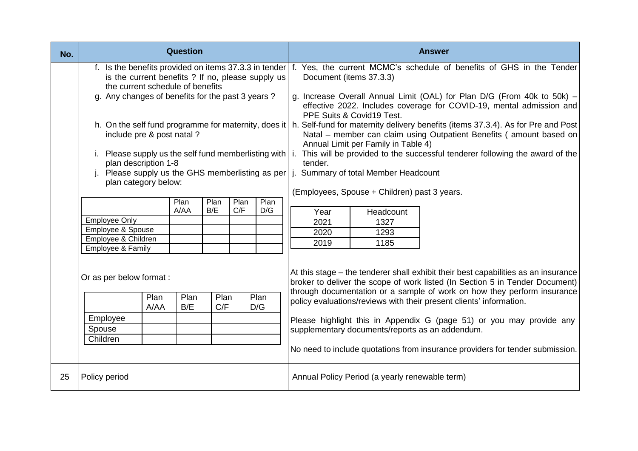| No. | <b>Question</b>                                                                                                                                                                                                     |              |              |                    |  |             |                                                                                                                                                                                                                   |                                                                                                                                                                                                                | <b>Answer</b>                                                                                                                                                                                                                                                                                                                                                                                                                                                                 |  |  |
|-----|---------------------------------------------------------------------------------------------------------------------------------------------------------------------------------------------------------------------|--------------|--------------|--------------------|--|-------------|-------------------------------------------------------------------------------------------------------------------------------------------------------------------------------------------------------------------|----------------------------------------------------------------------------------------------------------------------------------------------------------------------------------------------------------------|-------------------------------------------------------------------------------------------------------------------------------------------------------------------------------------------------------------------------------------------------------------------------------------------------------------------------------------------------------------------------------------------------------------------------------------------------------------------------------|--|--|
|     | f. Is the benefits provided on items 37.3.3 in tender f. Yes, the current MCMC's schedule of benefits of GHS in the Tender<br>is the current benefits ? If no, please supply us<br>the current schedule of benefits |              |              |                    |  |             | Document (items 37.3.3)                                                                                                                                                                                           |                                                                                                                                                                                                                |                                                                                                                                                                                                                                                                                                                                                                                                                                                                               |  |  |
|     | g. Any changes of benefits for the past 3 years?                                                                                                                                                                    |              |              |                    |  |             |                                                                                                                                                                                                                   | PPE Suits & Covid19 Test.                                                                                                                                                                                      | g. Increase Overall Annual Limit (OAL) for Plan D/G (From 40k to 50k) -<br>effective 2022. Includes coverage for COVID-19, mental admission and                                                                                                                                                                                                                                                                                                                               |  |  |
|     | include pre & post natal?                                                                                                                                                                                           |              |              |                    |  |             |                                                                                                                                                                                                                   | h. On the self fund programme for maternity, does it   h. Self-fund for maternity delivery benefits (items 37.3.4). As for Pre and Post<br>Natal - member can claim using Outpatient Benefits (amount based on |                                                                                                                                                                                                                                                                                                                                                                                                                                                                               |  |  |
|     | plan description 1-8<br>Please supply us the GHS memberlisting as per                                                                                                                                               |              |              |                    |  | tender.     | Annual Limit per Family in Table 4)<br>Please supply us the self fund memberlisting with   i. This will be provided to the successful tenderer following the award of the<br>j. Summary of total Member Headcount |                                                                                                                                                                                                                |                                                                                                                                                                                                                                                                                                                                                                                                                                                                               |  |  |
|     | Ĺ.<br>plan category below:                                                                                                                                                                                          |              |              | Plan<br>Plan       |  |             |                                                                                                                                                                                                                   | (Employees, Spouse + Children) past 3 years.                                                                                                                                                                   |                                                                                                                                                                                                                                                                                                                                                                                                                                                                               |  |  |
|     |                                                                                                                                                                                                                     |              | Plan<br>A/AA | Plan<br>C/F<br>B/E |  | D/G         | Year                                                                                                                                                                                                              | Headcount                                                                                                                                                                                                      |                                                                                                                                                                                                                                                                                                                                                                                                                                                                               |  |  |
|     | <b>Employee Only</b>                                                                                                                                                                                                |              |              |                    |  |             | 2021                                                                                                                                                                                                              | 1327                                                                                                                                                                                                           |                                                                                                                                                                                                                                                                                                                                                                                                                                                                               |  |  |
|     | Employee & Spouse                                                                                                                                                                                                   |              |              |                    |  |             | 2020                                                                                                                                                                                                              | 1293                                                                                                                                                                                                           |                                                                                                                                                                                                                                                                                                                                                                                                                                                                               |  |  |
|     | Employee & Children<br>Employee & Family                                                                                                                                                                            |              |              |                    |  |             | 2019<br>1185                                                                                                                                                                                                      |                                                                                                                                                                                                                |                                                                                                                                                                                                                                                                                                                                                                                                                                                                               |  |  |
|     | Or as per below format :<br>Employee<br>Spouse<br>Children                                                                                                                                                          | Plan<br>A/AA | Plan<br>B/E  | Plan<br>C/F        |  | Plan<br>D/G |                                                                                                                                                                                                                   | supplementary documents/reports as an addendum.                                                                                                                                                                | At this stage – the tenderer shall exhibit their best capabilities as an insurance<br>broker to deliver the scope of work listed (In Section 5 in Tender Document)<br>through documentation or a sample of work on how they perform insurance<br>policy evaluations/reviews with their present clients' information.<br>Please highlight this in Appendix G (page 51) or you may provide any<br>No need to include quotations from insurance providers for tender submission. |  |  |
| 25  | Policy period                                                                                                                                                                                                       |              |              |                    |  |             |                                                                                                                                                                                                                   | Annual Policy Period (a yearly renewable term)                                                                                                                                                                 |                                                                                                                                                                                                                                                                                                                                                                                                                                                                               |  |  |